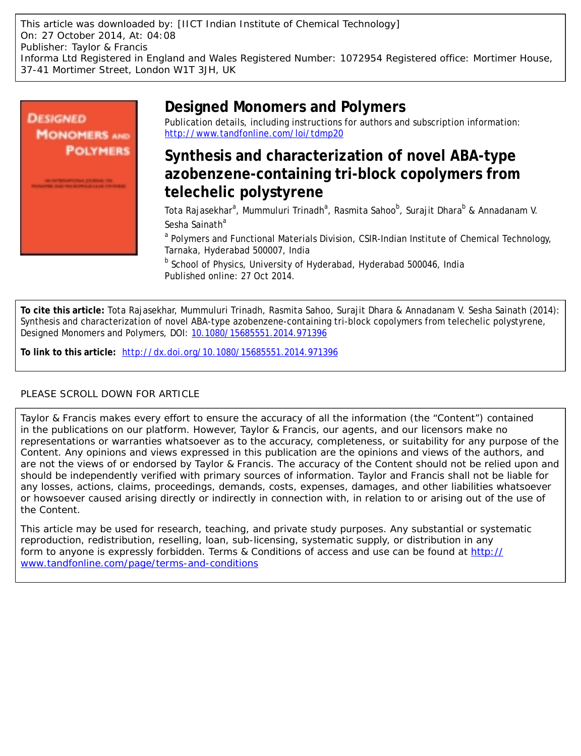This article was downloaded by: [IICT Indian Institute of Chemical Technology] On: 27 October 2014, At: 04:08 Publisher: Taylor & Francis Informa Ltd Registered in England and Wales Registered Number: 1072954 Registered office: Mortimer House, 37-41 Mortimer Street, London W1T 3JH, UK



# **Designed Monomers and Polymers**

Publication details, including instructions for authors and subscription information: <http://www.tandfonline.com/loi/tdmp20>

# **Synthesis and characterization of novel ABA-type azobenzene-containing tri-block copolymers from telechelic polystyrene**

Tota Rajasekhar<sup>a</sup>, Mummuluri Trinadh<sup>a</sup>, Rasmita Sahoo<sup>b</sup>, Surajit Dhara<sup>b</sup> & Annadanam V. Sesha Sainath<sup>a</sup>

<sup>a</sup> Polymers and Functional Materials Division, CSIR-Indian Institute of Chemical Technology, Tarnaka, Hyderabad 500007, India

<sup>b</sup> School of Physics, University of Hyderabad, Hyderabad 500046, India Published online: 27 Oct 2014.

**To cite this article:** Tota Rajasekhar, Mummuluri Trinadh, Rasmita Sahoo, Surajit Dhara & Annadanam V. Sesha Sainath (2014): Synthesis and characterization of novel ABA-type azobenzene-containing tri-block copolymers from telechelic polystyrene, Designed Monomers and Polymers, DOI: [10.1080/15685551.2014.971396](http://www.tandfonline.com/action/showCitFormats?doi=10.1080/15685551.2014.971396)

**To link to this article:** <http://dx.doi.org/10.1080/15685551.2014.971396>

# PLEASE SCROLL DOWN FOR ARTICLE

Taylor & Francis makes every effort to ensure the accuracy of all the information (the "Content") contained in the publications on our platform. However, Taylor & Francis, our agents, and our licensors make no representations or warranties whatsoever as to the accuracy, completeness, or suitability for any purpose of the Content. Any opinions and views expressed in this publication are the opinions and views of the authors, and are not the views of or endorsed by Taylor & Francis. The accuracy of the Content should not be relied upon and should be independently verified with primary sources of information. Taylor and Francis shall not be liable for any losses, actions, claims, proceedings, demands, costs, expenses, damages, and other liabilities whatsoever or howsoever caused arising directly or indirectly in connection with, in relation to or arising out of the use of the Content.

This article may be used for research, teaching, and private study purposes. Any substantial or systematic reproduction, redistribution, reselling, loan, sub-licensing, systematic supply, or distribution in any form to anyone is expressly forbidden. Terms & Conditions of access and use can be found at [http://](http://www.tandfonline.com/page/terms-and-conditions) [www.tandfonline.com/page/terms-and-conditions](http://www.tandfonline.com/page/terms-and-conditions)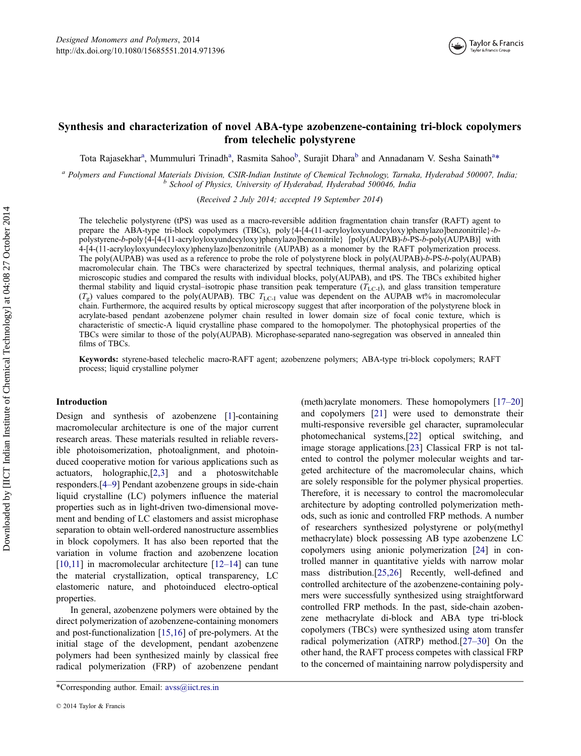# Synthesis and characterization of novel ABA-type azobenzene-containing tri-block copolymers from telechelic polystyrene

Tota Rajasekhar<sup>a</sup>, Mummuluri Trinadh<sup>a</sup>, Rasmita Sahoo<sup>b</sup>, Surajit Dhara<sup>b</sup> and Annadanam V. Sesha Sainath<sup>a</sup>\*

<sup>a</sup> Polymers and Functional Materials Division, CSIR-Indian Institute of Chemical Technology, Tarnaka, Hyderabad 500007, India; b School of Physics, University of Hyderabad, Hyderabad 500046, India

(Received 2 July 2014; accepted 19 September 2014)

The telechelic polystyrene (tPS) was used as a macro-reversible addition fragmentation chain transfer (RAFT) agent to prepare the ABA-type tri-block copolymers (TBCs), poly{4-[4-(11-acryloyloxyundecyloxy)phenylazo]benzonitrile}-bpolystyrene-b-poly{4-[4-(11-acryloyloxyundecyloxy)phenylazo]benzonitrile} [poly(AUPAB)-b-PS-b-poly(AUPAB)] with 4-[4-(11-acryloyloxyundecyloxy)phenylazo]benzonitrile (AUPAB) as a monomer by the RAFT polymerization process. The poly(AUPAB) was used as a reference to probe the role of polystyrene block in poly(AUPAB)-b-PS-b-poly(AUPAB) macromolecular chain. The TBCs were characterized by spectral techniques, thermal analysis, and polarizing optical microscopic studies and compared the results with individual blocks, poly(AUPAB), and tPS. The TBCs exhibited higher thermal stability and liquid crystal–isotropic phase transition peak temperature  $(T_{\text{LC-1}})$ , and glass transition temperature  $(T<sub>g</sub>)$  values compared to the poly(AUPAB). TBC  $T<sub>L<sub>g</sub></sub>$  value was dependent on the AUPAB wt% in macromolecular chain. Furthermore, the acquired results by optical microscopy suggest that after incorporation of the polystyrene block in acrylate-based pendant azobenzene polymer chain resulted in lower domain size of focal conic texture, which is characteristic of smectic-A liquid crystalline phase compared to the homopolymer. The photophysical properties of the TBCs were similar to those of the poly(AUPAB). Microphase-separated nano-segregation was observed in annealed thin films of TBCs.

Keywords: styrene-based telechelic macro-RAFT agent; azobenzene polymers; ABA-type tri-block copolymers; RAFT process; liquid crystalline polymer

### Introduction

Design and synthesis of azobenzene [[1\]](#page-11-0)-containing macromolecular architecture is one of the major current research areas. These materials resulted in reliable reversible photoisomerization, photoalignment, and photoinduced cooperative motion for various applications such as actuators, holographic,[[2,3](#page-11-0)] and a photoswitchable responders.[4–[9\]](#page-11-0) Pendant azobenzene groups in side-chain liquid crystalline (LC) polymers influence the material properties such as in light-driven two-dimensional movement and bending of LC elastomers and assist microphase separation to obtain well-ordered nanostructure assemblies in block copolymers. It has also been reported that the variation in volume fraction and azobenzene location [\[10,11](#page-11-0)] in macromolecular architecture  $[12-14]$  $[12-14]$  can tune the material crystallization, optical transparency, LC elastomeric nature, and photoinduced electro-optical properties.

In general, azobenzene polymers were obtained by the direct polymerization of azobenzene-containing monomers and post-functionalization [\[15,16\]](#page-11-0) of pre-polymers. At the initial stage of the development, pendant azobenzene polymers had been synthesized mainly by classical free radical polymerization (FRP) of azobenzene pendant

(meth)acrylate monomers. These homopolymers [17–[20\]](#page-11-0) and copolymers [[21\]](#page-11-0) were used to demonstrate their multi-responsive reversible gel character, supramolecular photomechanical systems,[[22\]](#page-11-0) optical switching, and image storage applications.[\[23](#page-11-0)] Classical FRP is not talented to control the polymer molecular weights and targeted architecture of the macromolecular chains, which are solely responsible for the polymer physical properties. Therefore, it is necessary to control the macromolecular architecture by adopting controlled polymerization methods, such as ionic and controlled FRP methods. A number of researchers synthesized polystyrene or poly(methyl methacrylate) block possessing AB type azobenzene LC copolymers using anionic polymerization [\[24\]](#page-11-0) in controlled manner in quantitative yields with narrow molar mass distribution.[[25,26](#page-11-0)] Recently, well-defined and controlled architecture of the azobenzene-containing polymers were successfully synthesized using straightforward controlled FRP methods. In the past, side-chain azobenzene methacrylate di-block and ABA type tri-block copolymers (TBCs) were synthesized using atom transfer radical polymerization (ATRP) method.[27–[30](#page-12-0)] On the other hand, the RAFT process competes with classical FRP to the concerned of maintaining narrow polydispersity and

<sup>\*</sup>Corresponding author. Email: [avss@iict.res.in](mailto:avss@iict.res.in)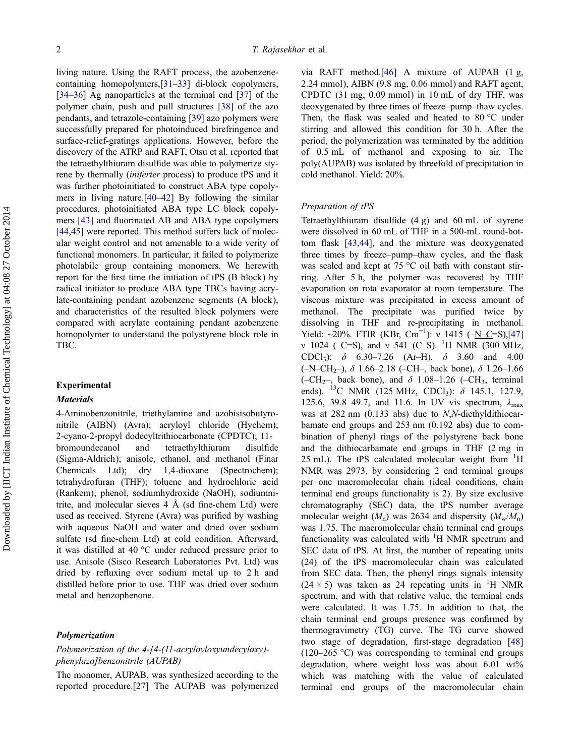living nature. Using the RAFT process, the azobenzenecontaining homopolymers,[\[31](#page-12-0)–33] di-block copolymers, [\[34](#page-12-0)–36] Ag nanoparticles at the terminal end [\[37](#page-12-0)] of the polymer chain, push and pull structures [[38\]](#page-12-0) of the azo pendants, and tetrazole-containing [\[39](#page-12-0)] azo polymers were successfully prepared for photoinduced birefringence and surface-relief-gratings applications. However, before the discovery of the ATRP and RAFT, Otsu et al. reported that the tetraethylthiuram disulfide was able to polymerize styrene by thermally (iniferter process) to produce tPS and it was further photoinitiated to construct ABA type copolymers in living nature.[\[40](#page-12-0)–42] By following the similar procedures, photoinitiated ABA type LC block copolymers [[43\]](#page-12-0) and fluorinated AB and ABA type copolymers [\[44,45\]](#page-12-0) were reported. This method suffers lack of molecular weight control and not amenable to a wide verity of functional monomers. In particular, it failed to polymerize photolabile group containing monomers. We herewith report for the first time the initiation of tPS (B block) by radical initiator to produce ABA type TBCs having acrylate-containing pendant azobenzene segments (A block), and characteristics of the resulted block polymers were compared with acrylate containing pendant azobenzene homopolymer to understand the polystyrene block role in TBC.

### Experimental

## **Materials**

4-Aminobenzonitrile, triethylamine and azobisisobutyronitrile (AIBN) (Avra); acryloyl chloride (Hychem); 2-cyano-2-propyl dodecyltrithiocarbonate (CPDTC); 11 bromoundecanol and tetraethylthiuram disulfide (Sigma-Aldrich); anisole, ethanol, and methanol (Finar Chemicals Ltd); dry 1,4-dioxane (Spectrochem); tetrahydrofuran (THF); toluene and hydrochloric acid (Rankem); phenol, sodiumhydroxide (NaOH), sodiumnitrite, and molecular sieves  $4 \text{ Å}$  (sd fine-chem Ltd) were used as received. Styrene (Avra) was purified by washing with aqueous NaOH and water and dried over sodium sulfate (sd fine-chem Ltd) at cold condition. Afterward, it was distilled at 40 °C under reduced pressure prior to use. Anisole (Sisco Research Laboratories Pvt. Ltd) was dried by refluxing over sodium metal up to 2 h and distilled before prior to use. THF was dried over sodium metal and benzophenone.

#### Polymerization

# Polymerization of the 4-[4-(11-acryloyloxyundecyloxy) phenylazo]benzonitrile (AUPAB)

The monomer, AUPAB, was synthesized according to the reported procedure.[[27\]](#page-12-0) The AUPAB was polymerized

via RAFT method.[\[46](#page-12-0)] A mixture of AUPAB (1 g, 2.24 mmol), AIBN (9.8 mg, 0.06 mmol) and RAFT agent, CPDTC (31 mg, 0.09 mmol) in 10 mL of dry THF, was deoxygenated by three times of freeze–pump–thaw cycles. Then, the flask was sealed and heated to 80 °C under stirring and allowed this condition for 30 h. After the period, the polymerization was terminated by the addition of 0.5 mL of methanol and exposing to air. The poly(AUPAB) was isolated by threefold of precipitation in cold methanol. Yield: 20%.

#### Preparation of tPS

Tetraethylthiuram disulfide (4 g) and 60 mL of styrene were dissolved in 60 mL of THF in a 500-mL round-bottom flask [[43,44](#page-12-0)], and the mixture was deoxygenated three times by freeze–pump–thaw cycles, and the flask was sealed and kept at 75 °C oil bath with constant stirring. After 5 h, the polymer was recovered by THF evaporation on rota evaporator at room temperature. The viscous mixture was precipitated in excess amount of methanol. The precipitate was purified twice by dissolving in THF and re-precipitating in methanol. Yield: ~20%. FTIR (KBr, Cm<sup>-1</sup>): v 1415 (-N–C=S),[\[47\]](#page-12-0) v 1024 (-C=S), and v 541 (C-S). <sup>1</sup>H NMR (300 MHz, CDCl<sub>3</sub>):  $\delta$  6.30–7.26 (Ar–H),  $\delta$  3.60 and 4.00 (–N–CH<sub>2</sub>–),  $\delta$  1.66–2.18 (–CH–, back bone),  $\delta$  1.26–1.66 (–CH<sub>2</sub>–, back bone), and  $\delta$  1.08–1.26 (–CH<sub>3</sub>, terminal ends). <sup>13</sup>C NMR (125 MHz, CDCl<sub>3</sub>):  $\delta$  145.1, 127.9, <sup>13</sup>C NMR (125 MHz, CDCl<sub>3</sub>):  $\delta$  145.1, 127.9, 125.6, 39.8–49.7, and 11.6. In UV–vis spectrum,  $\lambda_{\text{max}}$ was at 282 nm (0.133 abs) due to N,N-diethyldithiocarbamate end groups and 253 nm (0.192 abs) due to combination of phenyl rings of the polystyrene back bone and the dithiocarbamate end groups in THF (2 mg in 25 mL). The tPS calculated molecular weight from <sup>1</sup>H NMR was 2973, by considering 2 end terminal groups per one macromolecular chain (ideal conditions, chain terminal end groups functionality is 2). By size exclusive chromatography (SEC) data, the tPS number average molecular weight  $(M_n)$  was 2634 and dispersity  $(M_w/M_n)$ was 1.75. The macromolecular chain terminal end groups functionality was calculated with <sup>1</sup>H NMR spectrum and SEC data of tPS. At first, the number of repeating units (24) of the tPS macromolecular chain was calculated from SEC data. Then, the phenyl rings signals intensity  $(24 \times 5)$  was taken as 24 repeating units in <sup>1</sup>H NMR spectrum, and with that relative value, the terminal ends were calculated. It was 1.75. In addition to that, the chain terminal end groups presence was confirmed by thermogravimetry (TG) curve. The TG curve showed two stage of degradation, first-stage degradation [[48\]](#page-12-0) (120–265 °C) was corresponding to terminal end groups degradation, where weight loss was about 6.01 wt% which was matching with the value of calculated terminal end groups of the macromolecular chain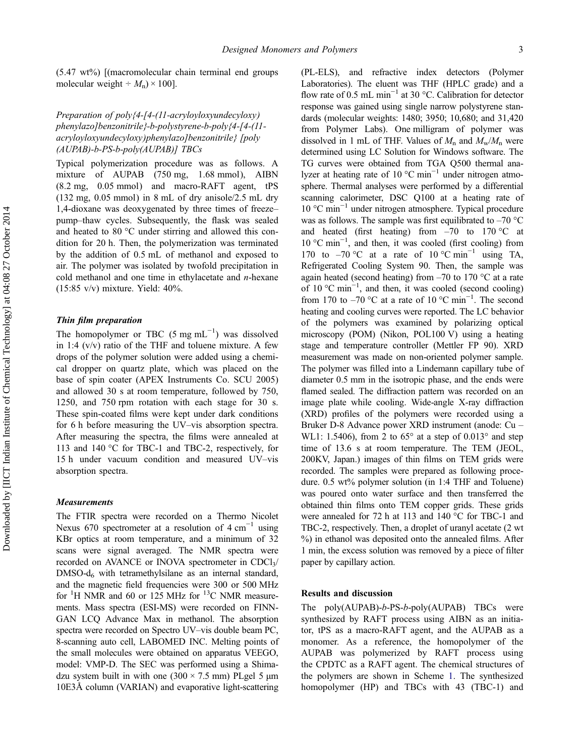(5.47 wt%) [(macromolecular chain terminal end groups molecular weight  $\div M_n$ ) × 100].

# Preparation of poly{4-[4-(11-acryloyloxyundecyloxy) phenylazo]benzonitrile}-b-polystyrene-b-poly{4-[4-(11 acryloyloxyundecyloxy)phenylazo]benzonitrile} [poly (AUPAB)-b-PS-b-poly(AUPAB)] TBCs

Typical polymerization procedure was as follows. A mixture of AUPAB (750 mg, 1.68 mmol), AIBN (8.2 mg, 0.05 mmol) and macro-RAFT agent, tPS (132 mg, 0.05 mmol) in 8 mL of dry anisole/2.5 mL dry 1,4-dioxane was deoxygenated by three times of freeze– pump–thaw cycles. Subsequently, the flask was sealed and heated to 80 °C under stirring and allowed this condition for 20 h. Then, the polymerization was terminated by the addition of 0.5 mL of methanol and exposed to air. The polymer was isolated by twofold precipitation in cold methanol and one time in ethylacetate and  $n$ -hexane (15:85 v/v) mixture. Yield: 40%.

# Thin film preparation

The homopolymer or TBC  $(5 \text{ mg } \text{mL}^{-1})$  was dissolved in 1:4  $(v/v)$  ratio of the THF and toluene mixture. A few drops of the polymer solution were added using a chemical dropper on quartz plate, which was placed on the base of spin coater (APEX Instruments Co. SCU 2005) and allowed 30 s at room temperature, followed by 750, 1250, and 750 rpm rotation with each stage for 30 s. These spin-coated films were kept under dark conditions for 6 h before measuring the UV–vis absorption spectra. After measuring the spectra, the films were annealed at 113 and 140 °C for TBC-1 and TBC-2, respectively, for 15 h under vacuum condition and measured UV–vis absorption spectra.

# **Measurements**

The FTIR spectra were recorded on a Thermo Nicolet Nexus 670 spectrometer at a resolution of 4 cm<sup>-1</sup> using KBr optics at room temperature, and a minimum of 32 scans were signal averaged. The NMR spectra were recorded on AVANCE or INOVA spectrometer in  $CDCl<sub>3</sub>/$  $DMSO-d<sub>6</sub>$  with tetramethylsilane as an internal standard, and the magnetic field frequencies were 300 or 500 MHz for  ${}^{1}$ H NMR and 60 or 125 MHz for  ${}^{13}$ C NMR measurements. Mass spectra (ESI-MS) were recorded on FINN-GAN LCQ Advance Max in methanol. The absorption spectra were recorded on Spectro UV–vis double beam PC, 8-scanning auto cell, LABOMED INC. Melting points of the small molecules were obtained on apparatus VEEGO, model: VMP-D. The SEC was performed using a Shimadzu system built in with one  $(300 \times 7.5 \text{ mm})$  PLgel 5  $\mu$ m 10E3Å column (VARIAN) and evaporative light-scattering

(PL-ELS), and refractive index detectors (Polymer Laboratories). The eluent was THF (HPLC grade) and a flow rate of 0.5 mL min−<sup>1</sup> at 30 °C. Calibration for detector response was gained using single narrow polystyrene standards (molecular weights: 1480; 3950; 10,680; and 31,420 from Polymer Labs). One milligram of polymer was dissolved in 1 mL of THF. Values of  $M_n$  and  $M_w/M_n$  were determined using LC Solution for Windows software. The TG curves were obtained from TGA Q500 thermal analyzer at heating rate of 10 °C min−<sup>1</sup> under nitrogen atmosphere. Thermal analyses were performed by a differential scanning calorimeter, DSC Q100 at a heating rate of 10 °C min−<sup>1</sup> under nitrogen atmosphere. Typical procedure was as follows. The sample was first equilibrated to  $-70$  °C and heated (first heating) from  $-70$  to  $170^{\circ}$ C at 10 °C min−<sup>1</sup> , and then, it was cooled (first cooling) from 170 to –70 °C at a rate of  $10$  °C min<sup>-1</sup> using TA, Refrigerated Cooling System 90. Then, the sample was again heated (second heating) from  $-70$  to 170 °C at a rate of 10 °C min−<sup>1</sup> , and then, it was cooled (second cooling) from 170 to –70 °C at a rate of 10 °C min<sup>-1</sup>. The second heating and cooling curves were reported. The LC behavior of the polymers was examined by polarizing optical microscopy (POM) (Nikon, POL100 V) using a heating stage and temperature controller (Mettler FP 90). XRD measurement was made on non-oriented polymer sample. The polymer was filled into a Lindemann capillary tube of diameter 0.5 mm in the isotropic phase, and the ends were flamed sealed. The diffraction pattern was recorded on an image plate while cooling. Wide-angle X-ray diffraction (XRD) profiles of the polymers were recorded using a Bruker D-8 Advance power XRD instrument (anode: Cu – WL1: 1.5406), from 2 to  $65^{\circ}$  at a step of  $0.013^{\circ}$  and step time of 13.6 s at room temperature. The TEM (JEOL, 200KV, Japan.) images of thin films on TEM grids were recorded. The samples were prepared as following procedure. 0.5 wt% polymer solution (in 1:4 THF and Toluene) was poured onto water surface and then transferred the obtained thin films onto TEM copper grids. These grids were annealed for 72 h at 113 and 140 °C for TBC-1 and TBC-2, respectively. Then, a droplet of uranyl acetate (2 wt %) in ethanol was deposited onto the annealed films. After 1 min, the excess solution was removed by a piece of filter paper by capillary action.

#### Results and discussion

The poly(AUPAB)-b-PS-b-poly(AUPAB) TBCs were synthesized by RAFT process using AIBN as an initiator, tPS as a macro-RAFT agent, and the AUPAB as a monomer. As a reference, the homopolymer of the AUPAB was polymerized by RAFT process using the CPDTC as a RAFT agent. The chemical structures of the polymers are shown in Scheme [1](#page-10-0). The synthesized homopolymer (HP) and TBCs with 43 (TBC-1) and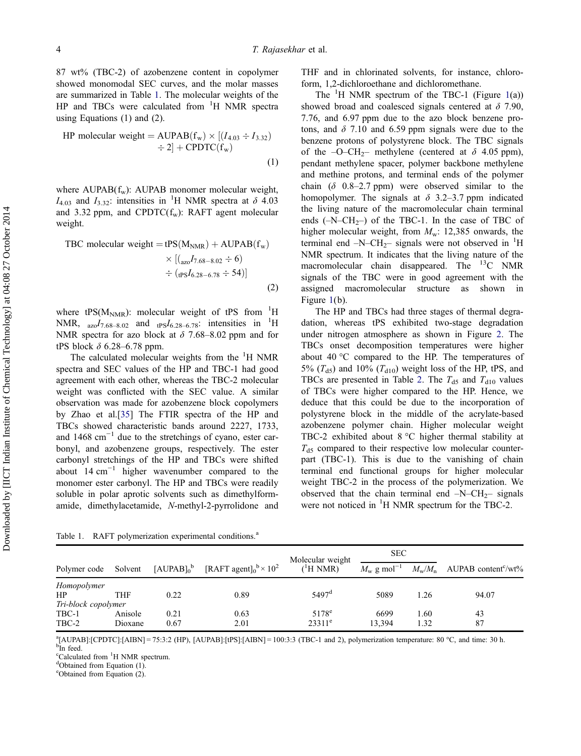87 wt% (TBC-2) of azobenzene content in copolymer showed monomodal SEC curves, and the molar masses are summarized in Table 1. The molecular weights of the HP and TBCs were calculated from  ${}^{1}H$  NMR spectra using Equations (1) and (2).

HP molecular weight = AUPAB(f<sub>w</sub>) × [(I<sub>4.03</sub> ÷ I<sub>3.32</sub>)  
\n
$$
\div 2] + \text{CPDTC}(f_w)
$$
\n(1)

where  $AUPAB(f_w)$ :  $AUPAB$  monomer molecular weight,  $I_{4.03}$  and  $I_{3.32}$ : intensities in <sup>1</sup>H NMR spectra at  $\delta$  4.03 and 3.32 ppm, and CPDTC $(f_w)$ : RAFT agent molecular weight.

TBC molecular weight = 
$$
tPS(M_{NMR}) + \text{AUPAB}(f_w)
$$

\n
$$
\times \left[ \left( \frac{1}{250} I_{7.68 - 8.02} \div 6 \right) \right. \div \left( \frac{1}{1250} I_{6.28 - 6.78} \div 54 \right) \right]
$$
\n(2)

where tPS( $M_{NMR}$ ): molecular weight of tPS from  $1H$ NMR,  $_{\alpha z_0}I_{7.68-8.02}$  and  $_{\text{tPS}}I_{6.28-6.78}$ : intensities in <sup>1</sup>H NMR spectra for azo block at  $\delta$  7.68–8.02 ppm and for tPS block  $\delta$  6.28–6.78 ppm.

The calculated molecular weights from the  ${}^{1}H$  NMR spectra and SEC values of the HP and TBC-1 had good agreement with each other, whereas the TBC-2 molecular weight was conflicted with the SEC value. A similar observation was made for azobenzene block copolymers by Zhao et al.[\[35](#page-12-0)] The FTIR spectra of the HP and TBCs showed characteristic bands around 2227, 1733, and  $1468 \text{ cm}^{-1}$  due to the stretchings of cyano, ester carbonyl, and azobenzene groups, respectively. The ester carbonyl stretchings of the HP and TBCs were shifted about  $14 \text{ cm}^{-1}$  higher wavenumber compared to the monomer ester carbonyl. The HP and TBCs were readily soluble in polar aprotic solvents such as dimethylformamide, dimethylacetamide, N-methyl-2-pyrrolidone and

THF and in chlorinated solvents, for instance, chloroform, 1,2-dichloroethane and dichloromethane.

The  ${}^{1}$  ${}^{1}$  ${}^{1}$ H NMR spectrum of the TBC-1 (Figure 1(a)) showed broad and coalesced signals centered at  $\delta$  7.90, 7.76, and 6.97 ppm due to the azo block benzene protons, and  $\delta$  7.10 and 6.59 ppm signals were due to the benzene protons of polystyrene block. The TBC signals of the  $-O-CH_2$ – methylene (centered at  $\delta$  4.05 ppm), pendant methylene spacer, polymer backbone methylene and methine protons, and terminal ends of the polymer chain ( $\delta$  0.8–2.7 ppm) were observed similar to the homopolymer. The signals at  $\delta$  3.2–3.7 ppm indicated the living nature of the macromolecular chain terminal ends  $(-N-CH<sub>2</sub>-)$  of the TBC-1. In the case of TBC of higher molecular weight, from  $M_w$ : 12,385 onwards, the terminal end  $-N-CH_2$  signals were not observed in <sup>1</sup>H NMR spectrum. It indicates that the living nature of the macromolecular chain disappeared. The  $^{13}$ C NMR signals of the TBC were in good agreement with the assigned macromolecular structure as shown in Figure [1](#page-5-0)(b).

The HP and TBCs had three stages of thermal degradation, whereas tPS exhibited two-stage degradation under nitrogen atmosphere as shown in Figure [2](#page-6-0). The TBCs onset decomposition temperatures were higher about 40 °C compared to the HP. The temperatures of 5% ( $T<sub>d5</sub>$ ) and 10% ( $T<sub>d10</sub>$ ) weight loss of the HP, tPS, and TBCs are presented in Table [2.](#page-6-0) The  $T_{d5}$  and  $T_{d10}$  values of TBCs were higher compared to the HP. Hence, we deduce that this could be due to the incorporation of polystyrene block in the middle of the acrylate-based azobenzene polymer chain. Higher molecular weight TBC-2 exhibited about 8 °C higher thermal stability at  $T_{d5}$  compared to their respective low molecular counterpart (TBC-1). This is due to the vanishing of chain terminal end functional groups for higher molecular weight TBC-2 in the process of the polymerization. We observed that the chain terminal end  $-N-CH_2$ – signals were not noticed in  ${}^{1}$ H NMR spectrum for the TBC-2.

Table 1. RAFT polymerization experimental conditions.<sup>a</sup>

|                     |            |               |                                             | Molecular weight  | <b>SEC</b>                      |      |                                                       |
|---------------------|------------|---------------|---------------------------------------------|-------------------|---------------------------------|------|-------------------------------------------------------|
| Polymer code        | Solvent    | $[AUPAB]_0^b$ | [RAFT agent] $_0^{\rm b}$ × 10 <sup>2</sup> | $(^1H NMR)$       | $M_{\rm w}$ g mol <sup>-1</sup> |      | $M_{\rm w}/M_{\rm n}$ AUPAB content <sup>c</sup> /wt% |
| Homopolymer         |            |               |                                             |                   |                                 |      |                                                       |
| <b>HP</b>           | <b>THF</b> | 0.22          | 0.89                                        | $5497^{\rm d}$    | 5089                            | 1.26 | 94.07                                                 |
| Tri-block copolymer |            |               |                                             |                   |                                 |      |                                                       |
| TBC-1               | Anisole    | 0.21          | 0.63                                        | 5178 <sup>e</sup> | 6699                            | 1.60 | 43                                                    |
| TBC-2               | Dioxane    | 0.67          | 2.01                                        | $23311^e$         | 13.394                          | 1.32 | 87                                                    |

 ${}^{\text{a}}$ [AUPAB]:[CPDTC]:[AIBN] = 75:3:2 (HP), [AUPAB]:[tPS]:[AIBN] = 100:3:3 (TBC-1 and 2), polymerization temperature: 80 °C, and time: 30 h. <sup>b</sup>In feed.

<sup>c</sup>Calculated from <sup>1</sup>H NMR spectrum.

<sup>d</sup>Obtained from Equation (1).

e Obtained from Equation (2).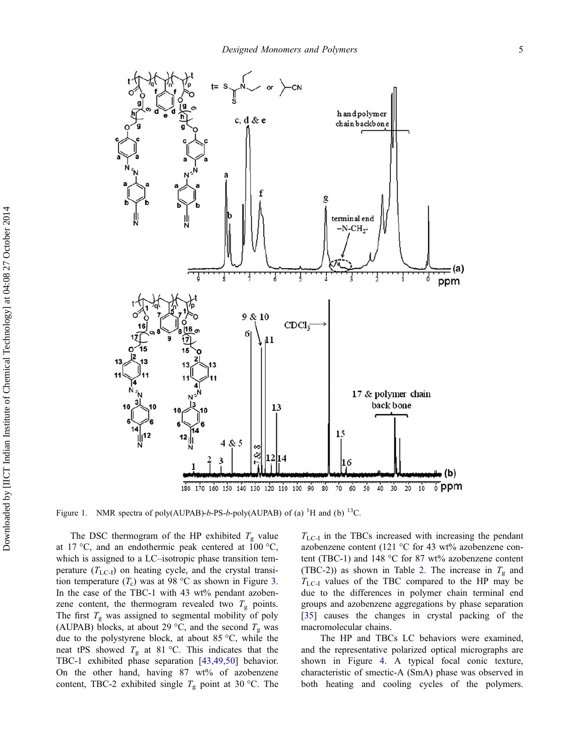<span id="page-5-0"></span>

Figure 1. NMR spectra of poly(AUPAB)-b-PS-b-poly(AUPAB) of (a) <sup>1</sup>H and (b) <sup>13</sup>C.

The DSC thermogram of the HP exhibited  $T_{\rm g}$  value at 17 °C, and an endothermic peak centered at  $100$  °C, which is assigned to a LC–isotropic phase transition temperature  $(T_{LC-I})$  on heating cycle, and the crystal transition temperature  $(T_c)$  was at 98 °C as shown in Figure [3.](#page-6-0) In the case of the TBC-1 with 43 wt% pendant azobenzene content, the thermogram revealed two  $T_g$  points. The first  $T_{\rm g}$  was assigned to segmental mobility of poly (AUPAB) blocks, at about 29 °C, and the second  $T_{\rm g}$  was due to the polystyrene block, at about 85 °C, while the neat tPS showed  $T_g$  at 81 °C. This indicates that the TBC-1 exhibited phase separation [[43,49,50\]](#page-12-0) behavior. On the other hand, having 87 wt% of azobenzene content, TBC-2 exhibited single  $T_g$  point at 30 °C. The  $T_{\text{LC-I}}$  in the TBCs increased with increasing the pendant azobenzene content (121 °C for 43 wt% azobenzene content (TBC-1) and 148 °C for 87 wt% azobenzene content (TBC-2)) as shown in Table [2.](#page-6-0) The increase in  $T_g$  and  $T_{\text{LC-I}}$  values of the TBC compared to the HP may be due to the differences in polymer chain terminal end groups and azobenzene aggregations by phase separation [\[35](#page-12-0)] causes the changes in crystal packing of the macromolecular chains.

The HP and TBCs LC behaviors were examined, and the representative polarized optical micrographs are shown in Figure [4](#page-7-0). A typical focal conic texture, characteristic of smectic-A (SmA) phase was observed in both heating and cooling cycles of the polymers.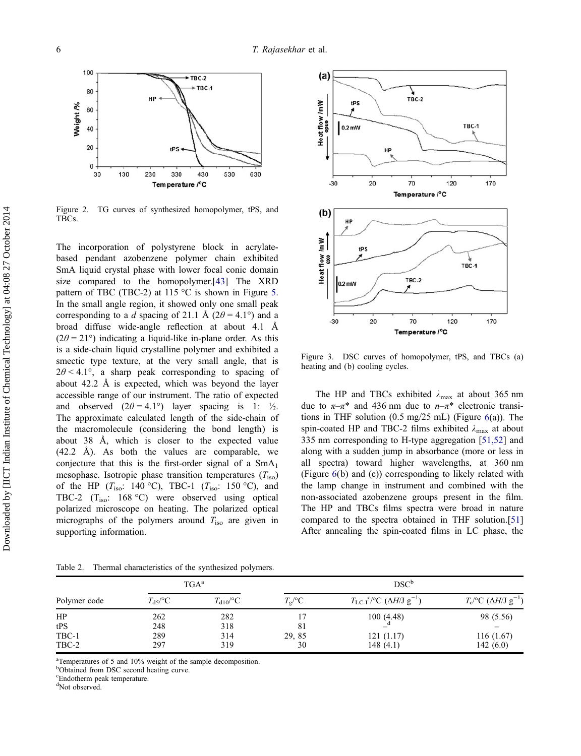<span id="page-6-0"></span>

Figure 2. TG curves of synthesized homopolymer, tPS, and TBCs.

The incorporation of polystyrene block in acrylatebased pendant azobenzene polymer chain exhibited SmA liquid crystal phase with lower focal conic domain size compared to the homopolymer.[\[43](#page-12-0)] The XRD pattern of TBC (TBC-2) at 115  $\degree$ C is shown in Figure [5.](#page-7-0) In the small angle region, it showed only one small peak corresponding to a d spacing of 21.1 Å ( $2\theta = 4.1^{\circ}$ ) and a broad diffuse wide-angle reflection at about 4.1 Å  $(2\theta = 21^{\circ})$  indicating a liquid-like in-plane order. As this is a side-chain liquid crystalline polymer and exhibited a smectic type texture, at the very small angle, that is  $2\theta < 4.1^{\circ}$ , a sharp peak corresponding to spacing of about 42.2 Å is expected, which was beyond the layer accessible range of our instrument. The ratio of expected and observed  $(2\theta = 4.1^{\circ})$  layer spacing is 1:  $\frac{1}{2}$ . The approximate calculated length of the side-chain of the macromolecule (considering the bond length) is about 38 Å, which is closer to the expected value (42.2 Å). As both the values are comparable, we conjecture that this is the first-order signal of a  $SmA<sub>1</sub>$ mesophase. Isotropic phase transition temperatures  $(T_{\text{iso}})$ of the HP ( $T_{\text{iso}}$ : 140 °C), TBC-1 ( $T_{\text{iso}}$ : 150 °C), and TBC-2 (Tiso: 168 °C) were observed using optical polarized microscope on heating. The polarized optical micrographs of the polymers around  $T_{\text{iso}}$  are given in supporting information.



Figure 3. DSC curves of homopolymer, tPS, and TBCs (a) heating and (b) cooling cycles.

The HP and TBCs exhibited  $\lambda_{\text{max}}$  at about 365 nm due to  $\pi-\pi^*$  and 436 nm due to  $n-\pi^*$  electronic transitions in THF solution (0.5 mg/25 mL) (Figure [6](#page-7-0)(a)). The spin-coated HP and TBC-2 films exhibited  $\lambda_{\text{max}}$  at about 335 nm corresponding to H-type aggregation [[51,52](#page-12-0)] and along with a sudden jump in absorbance (more or less in all spectra) toward higher wavelengths, at 360 nm (Figure [6](#page-7-0)(b) and (c)) corresponding to likely related with the lamp change in instrument and combined with the non-associated azobenzene groups present in the film. The HP and TBCs films spectra were broad in nature compared to the spectra obtained in THF solution.[[51\]](#page-12-0) After annealing the spin-coated films in LC phase, the

Table 2. Thermal characteristics of the synthesized polymers.

|              |                              | $TGA^a$           | DSC <sup>b</sup> |                                                                                |                                                       |  |
|--------------|------------------------------|-------------------|------------------|--------------------------------------------------------------------------------|-------------------------------------------------------|--|
| Polymer code | $T_{\rm d}$ $\rm <^{\circ}C$ | $T_{\rm d10}$ /°C | $T_{\rm g}$ /°C  | $T_{\text{LC-I}}^{\text{c}}$ <sup>c</sup> /°C ( $\Delta H/J$ g <sup>-1</sup> ) | $T_c$ <sup>o</sup> C ( $\Delta H/J$ g <sup>-1</sup> ) |  |
| HP           | 262                          | 282               |                  | 100(4.48)                                                                      | 98 (5.56)                                             |  |
| tPS          | 248                          | 318               | 81               |                                                                                |                                                       |  |
| TBC-1        | 289                          | 314               | 29, 85           | 121(1.17)                                                                      | 116(1.67)                                             |  |
| TBC-2        | 297                          | 319               | 30               | 148(4.1)                                                                       | 142 $(6.0)$                                           |  |

<sup>a</sup>Temperatures of 5 and 10% weight of the sample decomposition.

b Obtained from DSC second heating curve.

<sup>c</sup>Endotherm peak temperature.

d Not observed.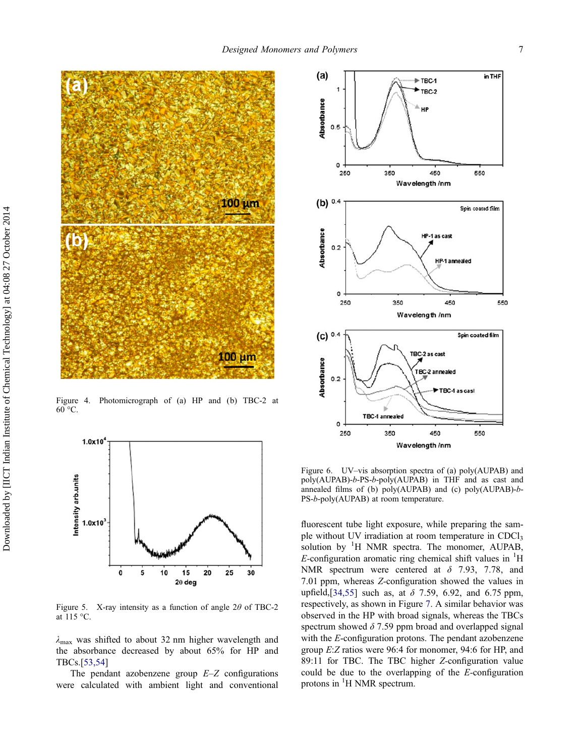<span id="page-7-0"></span>

Figure 4. Photomicrograph of (a) HP and (b) TBC-2 at  $60 °C$ .



Figure 5. X-ray intensity as a function of angle  $2\theta$  of TBC-2 at 115 °C.

 $\lambda_{\text{max}}$  was shifted to about 32 nm higher wavelength and the absorbance decreased by about 65% for HP and TBCs.[[53,54](#page-12-0)]

The pendant azobenzene group  $E-Z$  configurations were calculated with ambient light and conventional



Figure 6. UV–vis absorption spectra of (a) poly(AUPAB) and poly(AUPAB)-b-PS-b-poly(AUPAB) in THF and as cast and annealed films of (b) poly(AUPAB) and (c) poly(AUPAB)-b-PS-b-poly(AUPAB) at room temperature.

fluorescent tube light exposure, while preparing the sample without UV irradiation at room temperature in CDCl<sub>3</sub> solution by <sup>1</sup>H NMR spectra. The monomer, AUPAB, E-configuration aromatic ring chemical shift values in  ${}^{1}$ H NMR spectrum were centered at  $\delta$  7.93, 7.78, and 7.01 ppm, whereas Z-configuration showed the values in upfield,[\[34,55\]](#page-12-0) such as, at  $\delta$  7.59, 6.92, and 6.75 ppm, respectively, as shown in Figure [7.](#page-8-0) A similar behavior was observed in the HP with broad signals, whereas the TBCs spectrum showed  $\delta$  7.59 ppm broad and overlapped signal with the E-configuration protons. The pendant azobenzene group E:Z ratios were 96:4 for monomer, 94:6 for HP, and 89:11 for TBC. The TBC higher Z-configuration value could be due to the overlapping of the E-configuration protons in <sup>1</sup>H NMR spectrum.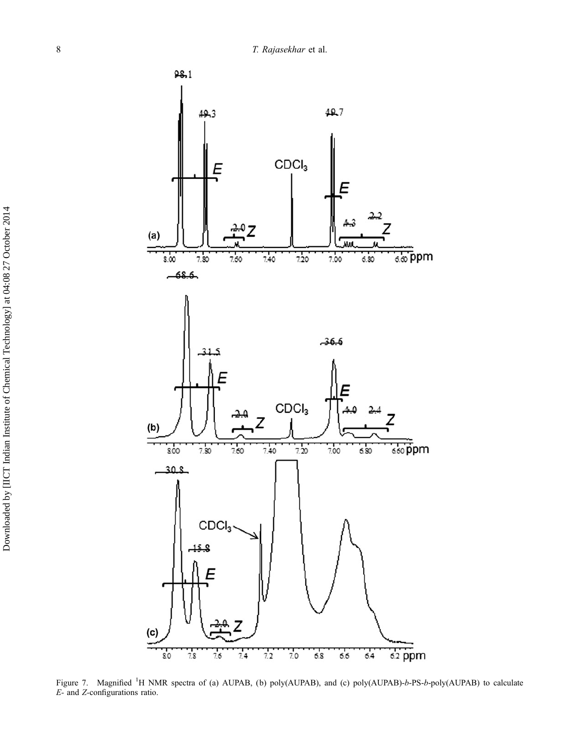<span id="page-8-0"></span>

Figure 7. Magnified <sup>1</sup>H NMR spectra of (a) AUPAB, (b) poly(AUPAB), and (c) poly(AUPAB)-b-PS-b-poly(AUPAB) to calculate E- and Z-configurations ratio.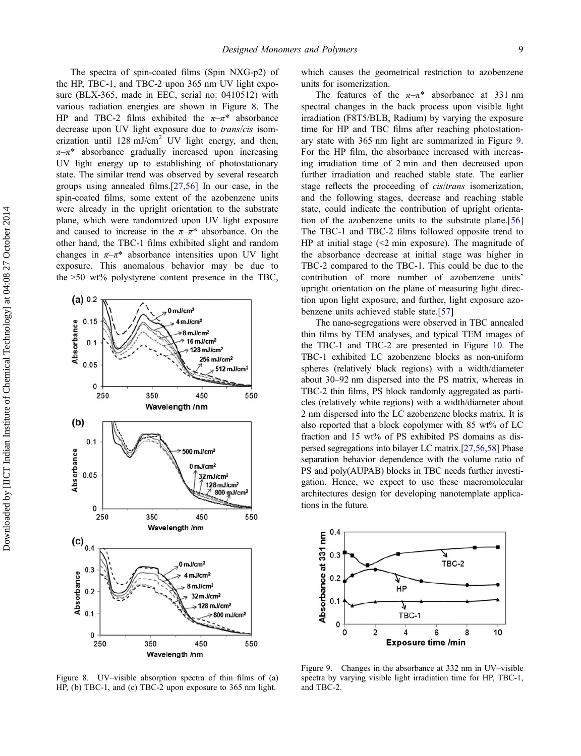The spectra of spin-coated films (Spin NXG-p2) of the HP, TBC-1, and TBC-2 upon 365 nm UV light exposure (BLX-365, made in EEC, serial no: 0410512) with various radiation energies are shown in Figure 8. The HP and TBC-2 films exhibited the  $\pi-\pi^*$  absorbance decrease upon UV light exposure due to trans/cis isomerization until 128 mJ/cm<sup>2</sup> UV light energy, and then,  $\pi-\pi^*$  absorbance gradually increased upon increasing UV light energy up to establishing of photostationary state. The similar trend was observed by several research groups using annealed films.[\[27,56\]](#page-12-0) In our case, in the spin-coated films, some extent of the azobenzene units were already in the upright orientation to the substrate plane, which were randomized upon UV light exposure and caused to increase in the  $\pi-\pi^*$  absorbance. On the other hand, the TBC-1 films exhibited slight and random changes in  $\pi-\pi^*$  absorbance intensities upon UV light exposure. This anomalous behavior may be due to the >50 wt% polystyrene content presence in the TBC,



Figure 8. UV–visible absorption spectra of thin films of (a) HP, (b) TBC-1, and (c) TBC-2 upon exposure to 365 nm light.

which causes the geometrical restriction to azobenzene units for isomerization.

The features of the  $\pi-\pi^*$  absorbance at 331 nm spectral changes in the back process upon visible light irradiation (F8T5/BLB, Radium) by varying the exposure time for HP and TBC films after reaching photostationary state with 365 nm light are summarized in Figure 9. For the HP film, the absorbance increased with increasing irradiation time of 2 min and then decreased upon further irradiation and reached stable state. The earlier stage reflects the proceeding of *cis/trans* isomerization, and the following stages, decrease and reaching stable state, could indicate the contribution of upright orientation of the azobenzene units to the substrate plane.[[56\]](#page-12-0) The TBC-1 and TBC-2 films followed opposite trend to HP at initial stage  $\ll$  min exposure). The magnitude of the absorbance decrease at initial stage was higher in TBC-2 compared to the TBC-1. This could be due to the contribution of more number of azobenzene units' upright orientation on the plane of measuring light direction upon light exposure, and further, light exposure azobenzene units achieved stable state.[[57\]](#page-12-0)

The nano-segregations were observed in TBC annealed thin films by TEM analyses, and typical TEM images of the TBC-1 and TBC-2 are presented in Figure [10.](#page-10-0) The TBC-1 exhibited LC azobenzene blocks as non-uniform spheres (relatively black regions) with a width/diameter about 30–92 nm dispersed into the PS matrix, whereas in TBC-2 thin films, PS block randomly aggregated as particles (relatively white regions) with a width/diameter about 2 nm dispersed into the LC azobenzene blocks matrix. It is also reported that a block copolymer with  $85 \text{ wt}$ % of LC fraction and 15 wt% of PS exhibited PS domains as dispersed segregations into bilayer LC matrix.[[27,56,58\]](#page-12-0) Phase separation behavior dependence with the volume ratio of PS and poly(AUPAB) blocks in TBC needs further investigation. Hence, we expect to use these macromolecular architectures design for developing nanotemplate applications in the future.



Figure 9. Changes in the absorbance at 332 nm in UV–visible spectra by varying visible light irradiation time for HP, TBC-1, and TBC-2.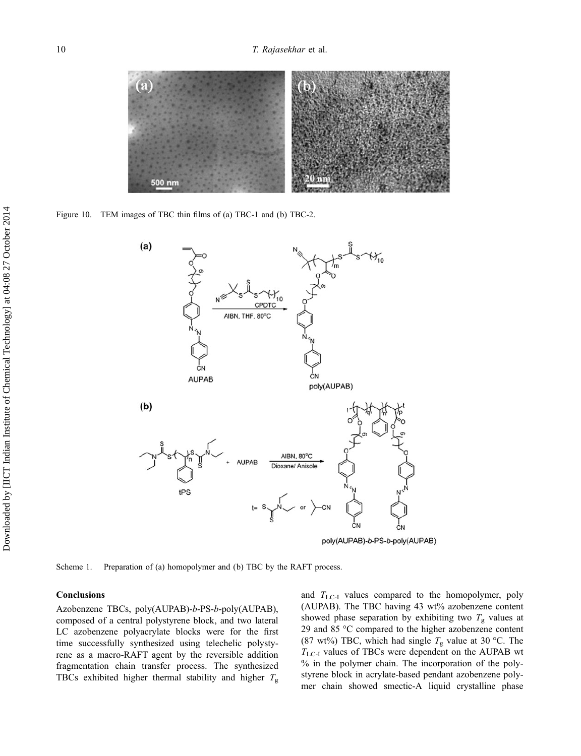<span id="page-10-0"></span>

Figure 10. TEM images of TBC thin films of (a) TBC-1 and (b) TBC-2.



poly(AUPAB)-b-PS-b-poly(AUPAB)

Scheme 1. Preparation of (a) homopolymer and (b) TBC by the RAFT process.

## **Conclusions**

Azobenzene TBCs, poly(AUPAB)-b-PS-b-poly(AUPAB), composed of a central polystyrene block, and two lateral LC azobenzene polyacrylate blocks were for the first time successfully synthesized using telechelic polystyrene as a macro-RAFT agent by the reversible addition fragmentation chain transfer process. The synthesized TBCs exhibited higher thermal stability and higher  $T_{\text{g}}$  and  $T_{\text{LC-I}}$  values compared to the homopolymer, poly (AUPAB). The TBC having 43 wt% azobenzene content showed phase separation by exhibiting two  $T_{\rm g}$  values at 29 and 85 °C compared to the higher azobenzene content (87 wt%) TBC, which had single  $T_g$  value at 30 °C. The  $T_{\text{LC-I}}$  values of TBCs were dependent on the AUPAB wt % in the polymer chain. The incorporation of the polystyrene block in acrylate-based pendant azobenzene polymer chain showed smectic-A liquid crystalline phase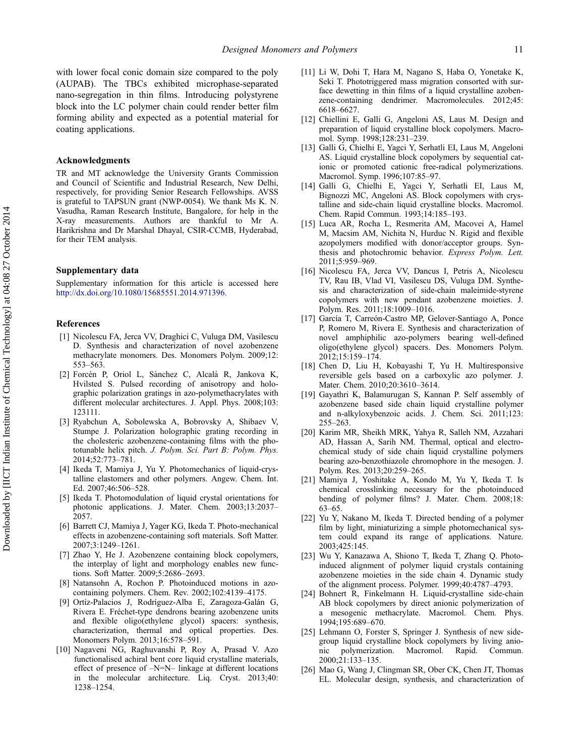<span id="page-11-0"></span>with lower focal conic domain size compared to the poly (AUPAB). The TBCs exhibited microphase-separated nano-segregation in thin films. Introducing polystyrene block into the LC polymer chain could render better film forming ability and expected as a potential material for coating applications.

#### Acknowledgments

TR and MT acknowledge the University Grants Commission and Council of Scientific and Industrial Research, New Delhi, respectively, for providing Senior Research Fellowships. AVSS is grateful to TAPSUN grant (NWP-0054). We thank Ms K. N. Vasudha, Raman Research Institute, Bangalore, for help in the X-ray measurements. Authors are thankful to Mr A. Harikrishna and Dr Marshal Dhayal, CSIR-CCMB, Hyderabad, for their TEM analysis.

#### Supplementary data

Supplementary information for this article is accessed here [http://dx.doi.org/10.1080/15685551.2014.971396.](http://dx.doi.org/10.1080/15685551.2014.971396)

#### References

- [1] Nicolescu FA, Jerca VV, Draghici C, Vuluga DM, Vasilescu D. Synthesis and characterization of novel azobenzene methacrylate monomers. Des. Monomers Polym. 2009;12: 553–563.
- [2] Forcén P, Oriol L, Sá nchez C, Alcalá R, Jankova K, Hvilsted S. Pulsed recording of anisotropy and holographic polarization gratings in azo-polymethacrylates with different molecular architectures. J. Appl. Phys. 2008;103: 123111.
- [3] Ryabchun A, Sobolewska A, Bobrovsky A, Shibaev V, Stumpe J. Polarization holographic grating recording in the cholesteric azobenzene-containing films with the phototunable helix pitch. J. Polym. Sci. Part B: Polym. Phys. 2014;52:773–781.
- [4] Ikeda T, Mamiya J, Yu Y. Photomechanics of liquid-crystalline elastomers and other polymers. Angew. Chem. Int. Ed. 2007;46:506–528.
- [5] Ikeda T. Photomodulation of liquid crystal orientations for photonic applications. J. Mater. Chem. 2003;13:2037– 2057.
- [6] Barrett CJ, Mamiya J, Yager KG, Ikeda T. Photo-mechanical effects in azobenzene-containing soft materials. Soft Matter. 2007;3:1249–1261.
- [7] Zhao Y, He J. Azobenzene containing block copolymers, the interplay of light and morphology enables new functions. Soft Matter. 2009;5:2686–2693.
- [8] Natansohn A, Rochon P. Photoinduced motions in azocontaining polymers. Chem. Rev. 2002;102:4139–4175.
- [9] Ortíz-Palacios J, Rodríguez-Alba E, Zaragoza-Galán G, Rivera E. Fréchet-type dendrons bearing azobenzene units and flexible oligo(ethylene glycol) spacers: synthesis, characterization, thermal and optical properties. Des. Monomers Polym. 2013;16:578–591.
- [10] Nagaveni NG, Raghuvanshi P, Roy A, Prasad V. Azo functionalised achiral bent core liquid crystalline materials, effect of presence of –N=N– linkage at different locations in the molecular architecture. Liq. Cryst. 2013;40: 1238–1254.
- [11] Li W, Dohi T, Hara M, Nagano S, Haba O, Yonetake K, Seki T. Phototriggered mass migration consorted with surface dewetting in thin films of a liquid crystalline azobenzene-containing dendrimer. Macromolecules. 2012;45: 6618–6627.
- [12] Chiellini E, Galli G, Angeloni AS, Laus M. Design and preparation of liquid crystalline block copolymers. Macromol. Symp. 1998;128:231–239.
- [13] Galli G, Chielhi E, Yagci Y, Serhatli EI, Laus M, Angeloni AS. Liquid crystalline block copolymers by sequential cationic or promoted cationic free-radical polymerizations. Macromol. Symp. 1996;107:85–97.
- [14] Galli G, Chielhi E, Yagci Y, Serhatli EI, Laus M, Bignozzi MC, Angeloni AS. Block copolymers with crystalline and side-chain liquid crystalline blocks. Macromol. Chem. Rapid Commun. 1993;14:185–193.
- [15] Luca AR, Rocha L, Resmerita AM, Macovei A, Hamel M, Macsim AM, Nichita N, Hurduc N. Rigid and flexible azopolymers modified with donor/acceptor groups. Synthesis and photochromic behavior. Express Polym. Lett. 2011;5:959–969.
- [16] Nicolescu FA, Jerca VV, Dancus I, Petris A, Nicolescu TV, Rau IB, Vlad VI, Vasilescu DS, Vuluga DM. Synthesis and characterization of side-chain maleimide-styrene copolymers with new pendant azobenzene moieties. J. Polym. Res. 2011;18:1009–1016.
- [17] García T, Carreón-Castro MP, Gelover-Santiago A, Ponce P, Romero M, Rivera E. Synthesis and characterization of novel amphiphilic azo-polymers bearing well-defined oligo(ethylene glycol) spacers. Des. Monomers Polym. 2012;15:159–174.
- [18] Chen D, Liu H, Kobayashi T, Yu H. Multiresponsive reversible gels based on a carboxylic azo polymer. J. Mater. Chem. 2010;20:3610–3614.
- [19] Gayathri K, Balamurugan S, Kannan P. Self assembly of azobenzene based side chain liquid crystalline polymer and n-alkyloxybenzoic acids. J. Chem. Sci. 2011;123: 255–263.
- [20] Karim MR, Sheikh MRK, Yahya R, Salleh NM, Azzahari AD, Hassan A, Sarih NM. Thermal, optical and electrochemical study of side chain liquid crystalline polymers bearing azo-benzothiazole chromophore in the mesogen. J. Polym. Res. 2013;20:259–265.
- [21] Mamiya J, Yoshitake A, Kondo M, Yu Y, Ikeda T. Is chemical crosslinking necessary for the photoinduced bending of polymer films? J. Mater. Chem. 2008;18: 63–65.
- [22] Yu Y, Nakano M, Ikeda T. Directed bending of a polymer film by light, miniaturizing a simple photomechanical system could expand its range of applications. Nature. 2003;425:145.
- [23] Wu Y, Kanazawa A, Shiono T, Ikeda T, Zhang Q. Photoinduced alignment of polymer liquid crystals containing azobenzene moieties in the side chain 4. Dynamic study of the alignment process. Polymer. 1999;40:4787–4793.
- [24] Bohnert R, Finkelmann H. Liquid-crystalline side-chain AB block copolymers by direct anionic polymerization of a mesogenic methacrylate. Macromol. Chem. Phys. 1994;195:689–670.
- [25] Lehmann O, Forster S, Springer J. Synthesis of new sidegroup liquid crystalline block copolymers by living anionic polymerization. Macromol. Rapid. Commun. 2000;21:133–135.
- [26] Mao G, Wang J, Clingman SR, Ober CK, Chen JT, Thomas EL. Molecular design, synthesis, and characterization of